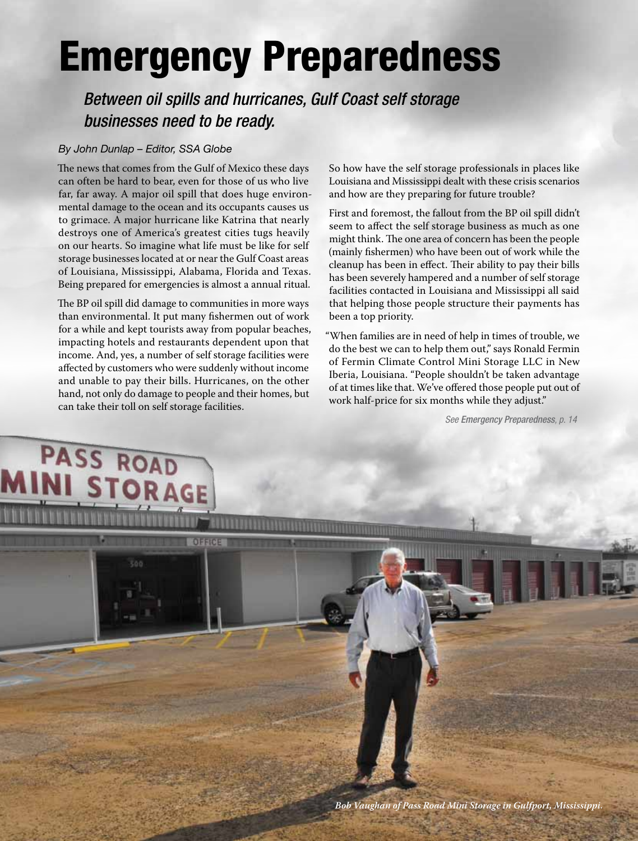# Emergency Preparedness

*Between oil spills and hurricanes, Gulf Coast self storage businesses need to be ready.*

### *By John Dunlap – Editor, SSA Globe*

The news that comes from the Gulf of Mexico these days can often be hard to bear, even for those of us who live far, far away. A major oil spill that does huge environmental damage to the ocean and its occupants causes us to grimace. A major hurricane like Katrina that nearly destroys one of America's greatest cities tugs heavily on our hearts. So imagine what life must be like for self storage businesses located at or near the Gulf Coast areas of Louisiana, Mississippi, Alabama, Florida and Texas. Being prepared for emergencies is almost a annual ritual.

The BP oil spill did damage to communities in more ways than environmental. It put many fishermen out of work for a while and kept tourists away from popular beaches, impacting hotels and restaurants dependent upon that income. And, yes, a number of self storage facilities were affected by customers who were suddenly without income and unable to pay their bills. Hurricanes, on the other hand, not only do damage to people and their homes, but can take their toll on self storage facilities.

OFFICE

**TORAGE** 

PASS ROAD

So how have the self storage professionals in places like Louisiana and Mississippi dealt with these crisis scenarios and how are they preparing for future trouble?

First and foremost, the fallout from the BP oil spill didn't seem to affect the self storage business as much as one might think. The one area of concern has been the people (mainly fishermen) who have been out of work while the cleanup has been in effect. Their ability to pay their bills has been severely hampered and a number of self storage facilities contacted in Louisiana and Mississippi all said that helping those people structure their payments has been a top priority.

"When families are in need of help in times of trouble, we do the best we can to help them out," says Ronald Fermin of Fermin Climate Control Mini Storage LLC in New Iberia, Louisiana. "People shouldn't be taken advantage of at times like that. We've offered those people put out of work half-price for six months while they adjust."

*See Emergency Preparedness, p. 14*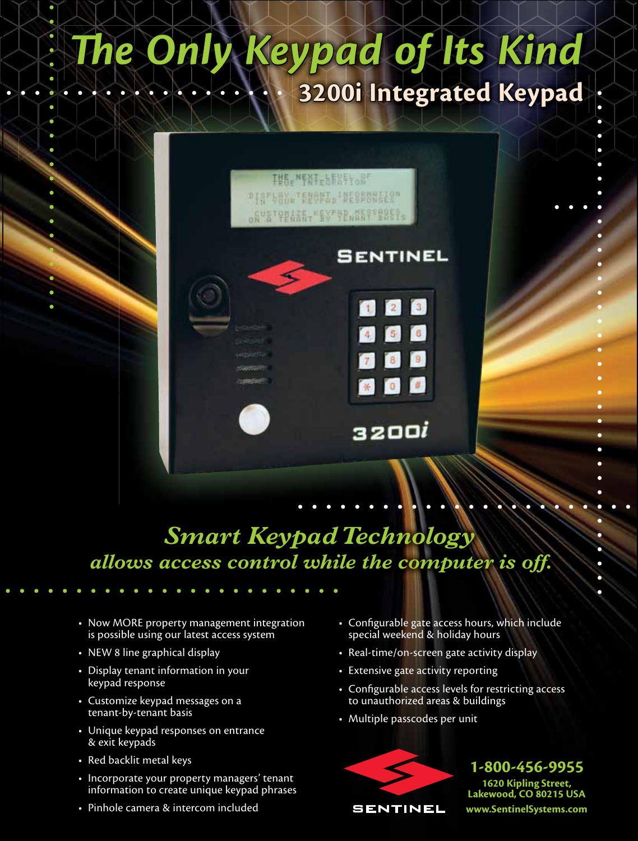## eypad of Its Kind **3200i Integrated Keypad**



SENTINEL

32001

6

### *Smart Keypad Technology allows access control while the computer is off.*

- Now MORE property management integration is possible using our latest access system
- NEW 8 line graphical display
- Display tenant information in your keypad response
- Customize keypad messages on a tenant-by-tenant basis
- Unique keypad responses on entrance & exit keypads
- Red backlit metal keys
- Incorporate your property managers' tenant information to create unique keypad phrases
- Pinhole camera & intercom included
- Configurable gate access hours, which include special weekend & holiday hours
- Real-time/on-screen gate activity display
- Extensive gate activity reporting
- Configurable access levels for restricting access to unauthorized areas & buildings
- Multiple passcodes per unit



**1-800-456-9955 1620 Kipling Street, Lakewood, CO 80215 USA www.SentinelSystems.com**